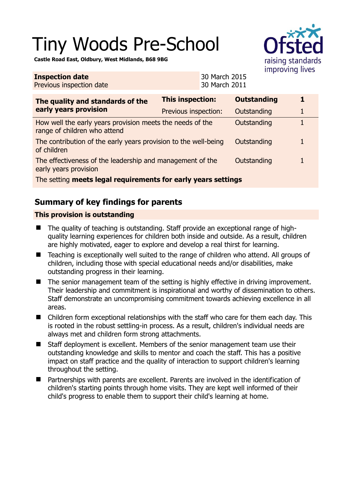# Tiny Woods Pre-School



**Castle Road East, Oldbury, West Midlands, B68 9BG** 

**Inspection date**

| <b>Inspection date</b><br>Previous inspection date                                                       |                         | 30 March 2015<br>30 March 2011 |                    |   |  |
|----------------------------------------------------------------------------------------------------------|-------------------------|--------------------------------|--------------------|---|--|
| The quality and standards of the<br>early years provision                                                | <b>This inspection:</b> |                                | <b>Outstanding</b> | 1 |  |
|                                                                                                          | Previous inspection:    |                                | Outstanding        |   |  |
| How well the early years provision meets the needs of the<br>Outstanding<br>range of children who attend |                         |                                |                    |   |  |
| The contribution of the early years provision to the well-being<br>of children                           |                         |                                | Outstanding        |   |  |
| The effectiveness of the leadership and management of the<br>early years provision                       |                         |                                | Outstanding        |   |  |
| The setting meets legal requirements for early years settings                                            |                         |                                |                    |   |  |

## **Summary of key findings for parents**

### **This provision is outstanding**

- The quality of teaching is outstanding. Staff provide an exceptional range of highquality learning experiences for children both inside and outside. As a result, children are highly motivated, eager to explore and develop a real thirst for learning.
- Teaching is exceptionally well suited to the range of children who attend. All groups of children, including those with special educational needs and/or disabilities, make outstanding progress in their learning.
- The senior management team of the setting is highly effective in driving improvement. Their leadership and commitment is inspirational and worthy of dissemination to others. Staff demonstrate an uncompromising commitment towards achieving excellence in all areas.
- Children form exceptional relationships with the staff who care for them each day. This is rooted in the robust settling-in process. As a result, children's individual needs are always met and children form strong attachments.
- Staff deployment is excellent. Members of the senior management team use their outstanding knowledge and skills to mentor and coach the staff. This has a positive impact on staff practice and the quality of interaction to support children's learning throughout the setting.
- Partnerships with parents are excellent. Parents are involved in the identification of children's starting points through home visits. They are kept well informed of their child's progress to enable them to support their child's learning at home.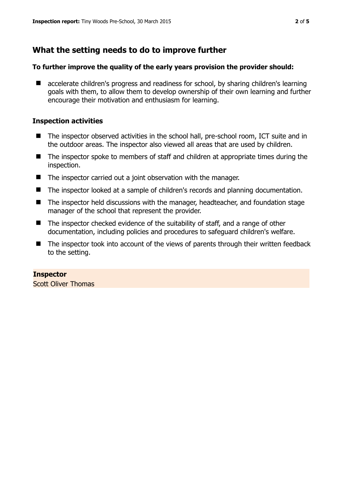## **What the setting needs to do to improve further**

#### **To further improve the quality of the early years provision the provider should:**

■ accelerate children's progress and readiness for school, by sharing children's learning goals with them, to allow them to develop ownership of their own learning and further encourage their motivation and enthusiasm for learning.

#### **Inspection activities**

- The inspector observed activities in the school hall, pre-school room, ICT suite and in the outdoor areas. The inspector also viewed all areas that are used by children.
- The inspector spoke to members of staff and children at appropriate times during the inspection.
- The inspector carried out a joint observation with the manager.
- The inspector looked at a sample of children's records and planning documentation.
- The inspector held discussions with the manager, headteacher, and foundation stage manager of the school that represent the provider.
- The inspector checked evidence of the suitability of staff, and a range of other documentation, including policies and procedures to safeguard children's welfare.
- The inspector took into account of the views of parents through their written feedback to the setting.

## **Inspector**

Scott Oliver Thomas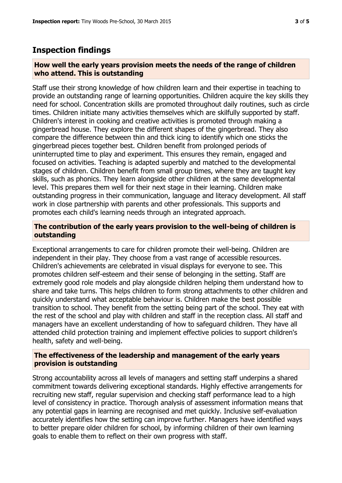## **Inspection findings**

#### **How well the early years provision meets the needs of the range of children who attend. This is outstanding**

Staff use their strong knowledge of how children learn and their expertise in teaching to provide an outstanding range of learning opportunities. Children acquire the key skills they need for school. Concentration skills are promoted throughout daily routines, such as circle times. Children initiate many activities themselves which are skilfully supported by staff. Children's interest in cooking and creative activities is promoted through making a gingerbread house. They explore the different shapes of the gingerbread. They also compare the difference between thin and thick icing to identify which one sticks the gingerbread pieces together best. Children benefit from prolonged periods of uninterrupted time to play and experiment. This ensures they remain, engaged and focused on activities. Teaching is adapted superbly and matched to the developmental stages of children. Children benefit from small group times, where they are taught key skills, such as phonics. They learn alongside other children at the same developmental level. This prepares them well for their next stage in their learning. Children make outstanding progress in their communication, language and literacy development. All staff work in close partnership with parents and other professionals. This supports and promotes each child's learning needs through an integrated approach.

#### **The contribution of the early years provision to the well-being of children is outstanding**

Exceptional arrangements to care for children promote their well-being. Children are independent in their play. They choose from a vast range of accessible resources. Children's achievements are celebrated in visual displays for everyone to see. This promotes children self-esteem and their sense of belonging in the setting. Staff are extremely good role models and play alongside children helping them understand how to share and take turns. This helps children to form strong attachments to other children and quickly understand what acceptable behaviour is. Children make the best possible transition to school. They benefit from the setting being part of the school. They eat with the rest of the school and play with children and staff in the reception class. All staff and managers have an excellent understanding of how to safeguard children. They have all attended child protection training and implement effective policies to support children's health, safety and well-being.

#### **The effectiveness of the leadership and management of the early years provision is outstanding**

Strong accountability across all levels of managers and setting staff underpins a shared commitment towards delivering exceptional standards. Highly effective arrangements for recruiting new staff, regular supervision and checking staff performance lead to a high level of consistency in practice. Thorough analysis of assessment information means that any potential gaps in learning are recognised and met quickly. Inclusive self-evaluation accurately identifies how the setting can improve further. Managers have identified ways to better prepare older children for school, by informing children of their own learning goals to enable them to reflect on their own progress with staff.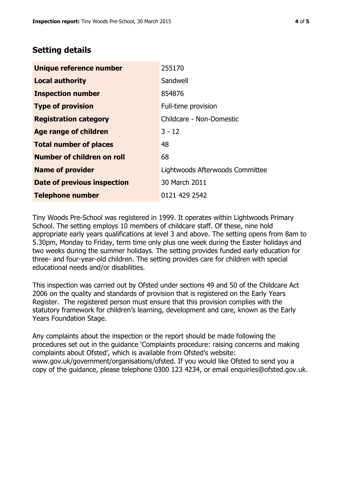## **Setting details**

| Unique reference number       | 255170                          |
|-------------------------------|---------------------------------|
| <b>Local authority</b>        | Sandwell                        |
| <b>Inspection number</b>      | 854876                          |
| <b>Type of provision</b>      | Full-time provision             |
| <b>Registration category</b>  | Childcare - Non-Domestic        |
| Age range of children         | $3 - 12$                        |
| <b>Total number of places</b> | 48                              |
| Number of children on roll    | 68                              |
| <b>Name of provider</b>       | Lightwoods Afterwoods Committee |
| Date of previous inspection   | 30 March 2011                   |
| <b>Telephone number</b>       | 0121 429 2542                   |

Tiny Woods Pre-School was registered in 1999. It operates within Lightwoods Primary School. The setting employs 10 members of childcare staff. Of these, nine hold appropriate early years qualifications at level 3 and above. The setting opens from 8am to 5.30pm, Monday to Friday, term time only plus one week during the Easter holidays and two weeks during the summer holidays. The setting provides funded early education for three- and four-year-old children. The setting provides care for children with special educational needs and/or disabilities.

This inspection was carried out by Ofsted under sections 49 and 50 of the Childcare Act 2006 on the quality and standards of provision that is registered on the Early Years Register. The registered person must ensure that this provision complies with the statutory framework for children's learning, development and care, known as the Early Years Foundation Stage.

Any complaints about the inspection or the report should be made following the procedures set out in the guidance 'Complaints procedure: raising concerns and making complaints about Ofsted', which is available from Ofsted's website: www.gov.uk/government/organisations/ofsted. If you would like Ofsted to send you a copy of the guidance, please telephone 0300 123 4234, or email enquiries@ofsted.gov.uk.